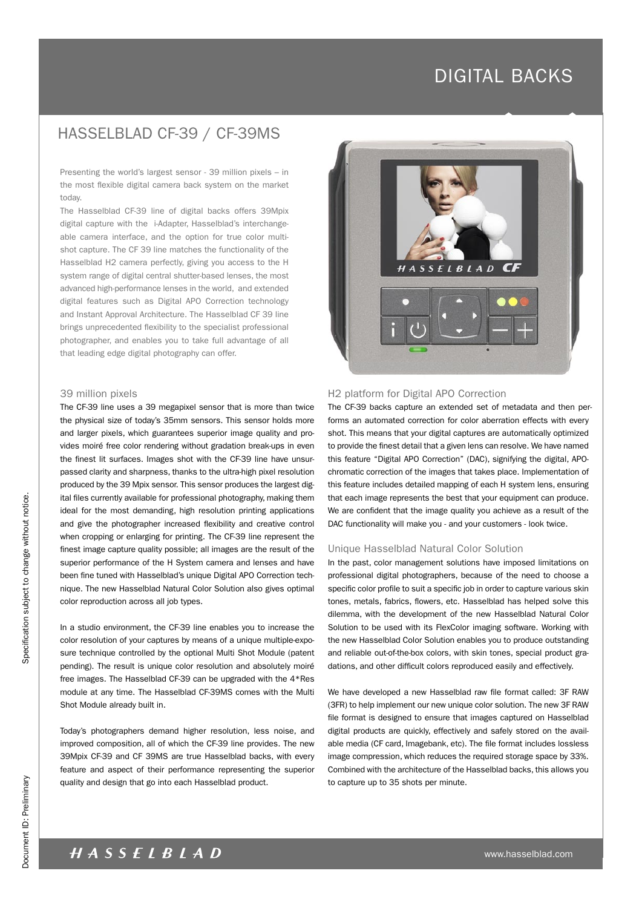## HASSELBLAD CF-39 / CF-39MS

Presenting the world's largest sensor - 39 million pixels – in the most flexible digital camera back system on the market today.

The Hasselblad CF-39 line of digital backs offers 39Mpix digital capture with the i-Adapter, Hasselblad's interchangeable camera interface, and the option for true color multishot capture. The CF 39 line matches the functionality of the Hasselblad H2 camera perfectly, giving you access to the H system range of digital central shutter-based lenses, the most advanced high-performance lenses in the world, and extended digital features such as Digital APO Correction technology and Instant Approval Architecture. The Hasselblad CF 39 line brings unprecedented flexibility to the specialist professional photographer, and enables you to take full advantage of all that leading edge digital photography can offer.

#### 39 million pixels

The CF-39 line uses a 39 megapixel sensor that is more than twice the physical size of today's 35mm sensors. This sensor holds more and larger pixels, which guarantees superior image quality and provides moiré free color rendering without gradation break-ups in even the finest lit surfaces. Images shot with the CF-39 line have unsurpassed clarity and sharpness, thanks to the ultra-high pixel resolution produced by the 39 Mpix sensor. This sensor produces the largest digital files currently available for professional photography, making them ideal for the most demanding, high resolution printing applications and give the photographer increased flexibility and creative control when cropping or enlarging for printing. The CF-39 line represent the finest image capture quality possible; all images are the result of the superior performance of the H System camera and lenses and have been fine tuned with Hasselblad's unique Digital APO Correction technique. The new Hasselblad Natural Color Solution also gives optimal color reproduction across all job types.

In a studio environment, the CF-39 line enables you to increase the color resolution of your captures by means of a unique multiple-exposure technique controlled by the optional Multi Shot Module (patent pending). The result is unique color resolution and absolutely moiré free images. The Hasselblad CF-39 can be upgraded with the 4\*Res module at any time. The Hasselblad CF-39MS comes with the Multi Shot Module already built in.

Today's photographers demand higher resolution, less noise, and improved composition, all of which the CF-39 line provides. The new 39Mpix CF-39 and CF 39MS are true Hasselblad backs, with every feature and aspect of their performance representing the superior quality and design that go into each Hasselblad product.



### H2 platform for Digital APO Correction

The CF-39 backs capture an extended set of metadata and then performs an automated correction for color aberration effects with every shot. This means that your digital captures are automatically optimized to provide the finest detail that a given lens can resolve. We have named this feature "Digital APO Correction" (DAC), signifying the digital, APOchromatic correction of the images that takes place. Implementation of this feature includes detailed mapping of each H system lens, ensuring that each image represents the best that your equipment can produce. We are confident that the image quality you achieve as a result of the DAC functionality will make you - and your customers - look twice.

## Unique Hasselblad Natural Color Solution

In the past, color management solutions have imposed limitations on professional digital photographers, because of the need to choose a specific color profile to suit a specific job in order to capture various skin tones, metals, fabrics, flowers, etc. Hasselblad has helped solve this dilemma, with the development of the new Hasselblad Natural Color Solution to be used with its FlexColor imaging software. Working with the new Hasselblad Color Solution enables you to produce outstanding and reliable out-of-the-box colors, with skin tones, special product gradations, and other difficult colors reproduced easily and effectively.

We have developed a new Hasselblad raw file format called: 3F RAW (3FR) to help implement our new unique color solution. The new 3F RAW file format is designed to ensure that images captured on Hasselblad digital products are quickly, effectively and safely stored on the available media (CF card, Imagebank, etc). The file format includes lossless image compression, which reduces the required storage space by 33%. Combined with the architecture of the Hasselblad backs, this allows you to capture up to 35 shots per minute.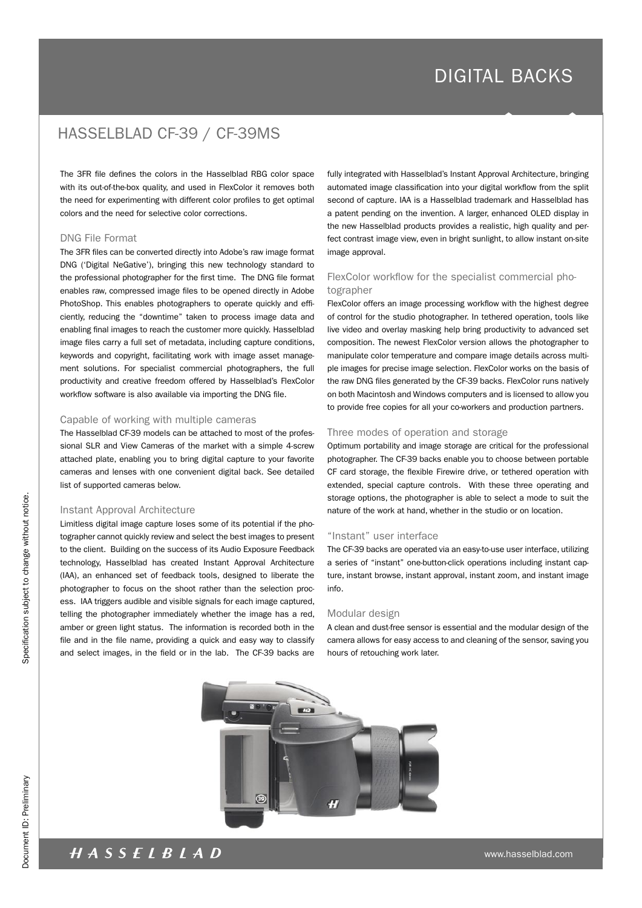## HASSELBLAD CF-39 / CF-39MS

The 3FR file defines the colors in the Hasselblad RBG color space with its out-of-the-box quality, and used in FlexColor it removes both the need for experimenting with different color profiles to get optimal colors and the need for selective color corrections.

#### DNG File Format

The 3FR files can be converted directly into Adobe's raw image format DNG ('Digital NeGative'), bringing this new technology standard to the professional photographer for the first time. The DNG file format enables raw, compressed image files to be opened directly in Adobe PhotoShop. This enables photographers to operate quickly and efficiently, reducing the "downtime" taken to process image data and enabling final images to reach the customer more quickly. Hasselblad image files carry a full set of metadata, including capture conditions, keywords and copyright, facilitating work with image asset management solutions. For specialist commercial photographers, the full productivity and creative freedom offered by Hasselblad's FlexColor workflow software is also available via importing the DNG file.

#### Capable of working with multiple cameras

The Hasselblad CF-39 models can be attached to most of the professional SLR and View Cameras of the market with a simple 4-screw attached plate, enabling you to bring digital capture to your favorite cameras and lenses with one convenient digital back. See detailed list of supported cameras below.

#### Instant Approval Architecture

Limitless digital image capture loses some of its potential if the photographer cannot quickly review and select the best images to present to the client. Building on the success of its Audio Exposure Feedback technology, Hasselblad has created Instant Approval Architecture (IAA), an enhanced set of feedback tools, designed to liberate the photographer to focus on the shoot rather than the selection process. IAA triggers audible and visible signals for each image captured, telling the photographer immediately whether the image has a red, amber or green light status. The information is recorded both in the file and in the file name, providing a quick and easy way to classify and select images, in the field or in the lab. The CF-39 backs are

fully integrated with Hasselblad's Instant Approval Architecture, bringing automated image classification into your digital workflow from the split second of capture. IAA is a Hasselblad trademark and Hasselblad has a patent pending on the invention. A larger, enhanced OLED display in the new Hasselblad products provides a realistic, high quality and perfect contrast image view, even in bright sunlight, to allow instant on-site image approval.

## FlexColor workflow for the specialist commercial photographer

FlexColor offers an image processing workflow with the highest degree of control for the studio photographer. In tethered operation, tools like live video and overlay masking help bring productivity to advanced set composition. The newest FlexColor version allows the photographer to manipulate color temperature and compare image details across multiple images for precise image selection. FlexColor works on the basis of the raw DNG files generated by the CF-39 backs. FlexColor runs natively on both Macintosh and Windows computers and is licensed to allow you to provide free copies for all your co-workers and production partners.

### Three modes of operation and storage

Optimum portability and image storage are critical for the professional photographer. The CF-39 backs enable you to choose between portable CF card storage, the flexible Firewire drive, or tethered operation with extended, special capture controls. With these three operating and storage options, the photographer is able to select a mode to suit the nature of the work at hand, whether in the studio or on location.

## "Instant" user interface

The CF-39 backs are operated via an easy-to-use user interface, utilizing a series of "instant" one-button-click operations including instant capture, instant browse, instant approval, instant zoom, and instant image info.

#### Modular design

A clean and dust-free sensor is essential and the modular design of the camera allows for easy access to and cleaning of the sensor, saving you hours of retouching work later.



specification subject to change without notice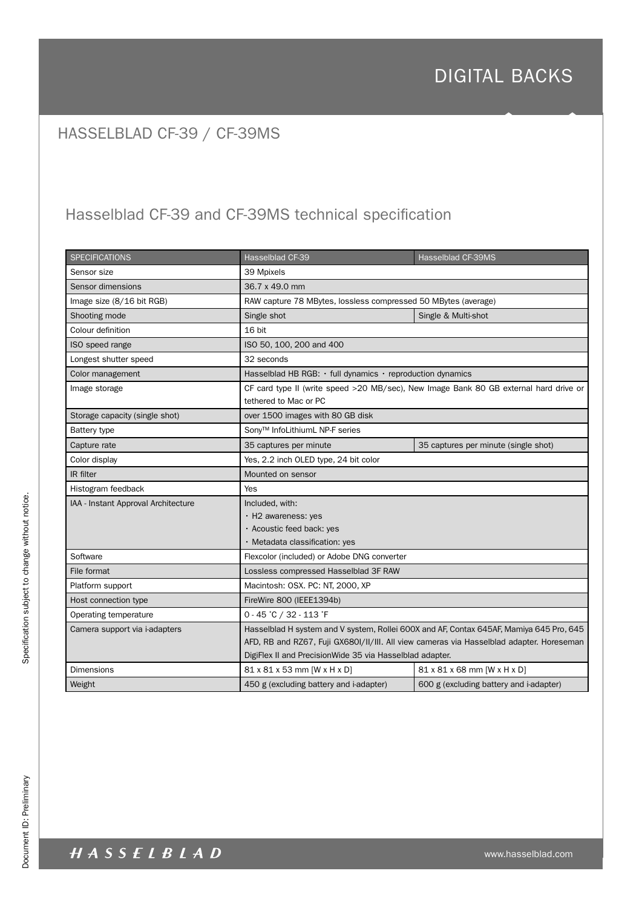# HASSELBLAD CF-39 / CF-39MS

# Hasselblad CF-39 and CF-39MS technical specification

| <b>SPECIFICATIONS</b>               | Hasselblad CF-39                                                                                                                                                                                                                                | <b>Hasselblad CF-39MS</b>               |
|-------------------------------------|-------------------------------------------------------------------------------------------------------------------------------------------------------------------------------------------------------------------------------------------------|-----------------------------------------|
| Sensor size                         | 39 Mpixels                                                                                                                                                                                                                                      |                                         |
| Sensor dimensions                   | 36.7 x 49.0 mm                                                                                                                                                                                                                                  |                                         |
| Image size (8/16 bit RGB)           | RAW capture 78 MBytes, lossless compressed 50 MBytes (average)                                                                                                                                                                                  |                                         |
| Shooting mode                       | Single shot                                                                                                                                                                                                                                     | Single & Multi-shot                     |
| Colour definition                   | 16 bit                                                                                                                                                                                                                                          |                                         |
| ISO speed range                     | ISO 50, 100, 200 and 400                                                                                                                                                                                                                        |                                         |
| Longest shutter speed               | 32 seconds                                                                                                                                                                                                                                      |                                         |
| Color management                    | Hasselblad HB RGB: $\cdot$ full dynamics $\cdot$ reproduction dynamics                                                                                                                                                                          |                                         |
| Image storage                       | CF card type II (write speed >20 MB/sec), New Image Bank 80 GB external hard drive or<br>tethered to Mac or PC                                                                                                                                  |                                         |
| Storage capacity (single shot)      | over 1500 images with 80 GB disk                                                                                                                                                                                                                |                                         |
| <b>Battery type</b>                 | Sony <sup>™</sup> InfoLithiumL NP-F series                                                                                                                                                                                                      |                                         |
| Capture rate                        | 35 captures per minute                                                                                                                                                                                                                          | 35 captures per minute (single shot)    |
| Color display                       | Yes, 2.2 inch OLED type, 24 bit color                                                                                                                                                                                                           |                                         |
| IR filter                           | Mounted on sensor                                                                                                                                                                                                                               |                                         |
| Histogram feedback                  | Yes                                                                                                                                                                                                                                             |                                         |
| IAA - Instant Approval Architecture | Included, with:                                                                                                                                                                                                                                 |                                         |
|                                     | · H2 awareness: yes                                                                                                                                                                                                                             |                                         |
|                                     | · Acoustic feed back: yes                                                                                                                                                                                                                       |                                         |
|                                     | · Metadata classification: yes                                                                                                                                                                                                                  |                                         |
| Software                            | Flexcolor (included) or Adobe DNG converter                                                                                                                                                                                                     |                                         |
| File format                         | Lossless compressed Hasselblad 3F RAW                                                                                                                                                                                                           |                                         |
| Platform support                    | Macintosh: OSX. PC: NT, 2000, XP                                                                                                                                                                                                                |                                         |
| Host connection type                | FireWire 800 (IEEE1394b)                                                                                                                                                                                                                        |                                         |
| Operating temperature               | 0 - 45 °C / 32 - 113 °F                                                                                                                                                                                                                         |                                         |
| Camera support via i-adapters       | Hasselblad H system and V system, Rollei 600X and AF, Contax 645AF, Mamiya 645 Pro, 645<br>AFD, RB and RZ67, Fuji GX680I/II/III. All view cameras via Hasselblad adapter. Horeseman<br>DigiFlex II and PrecisionWide 35 via Hasselblad adapter. |                                         |
| Dimensions                          | 81 x 81 x 53 mm [W x H x D]                                                                                                                                                                                                                     | 81 x 81 x 68 mm [W x H x D]             |
| Weight                              | 450 g (excluding battery and i-adapter)                                                                                                                                                                                                         | 600 g (excluding battery and i-adapter) |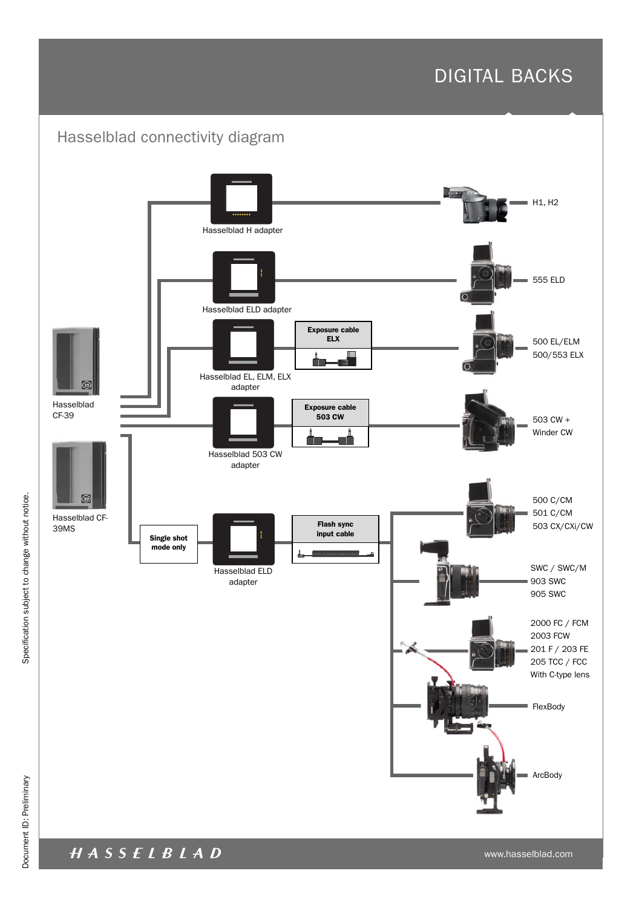

HASSELBLAD

www.hasselblad.com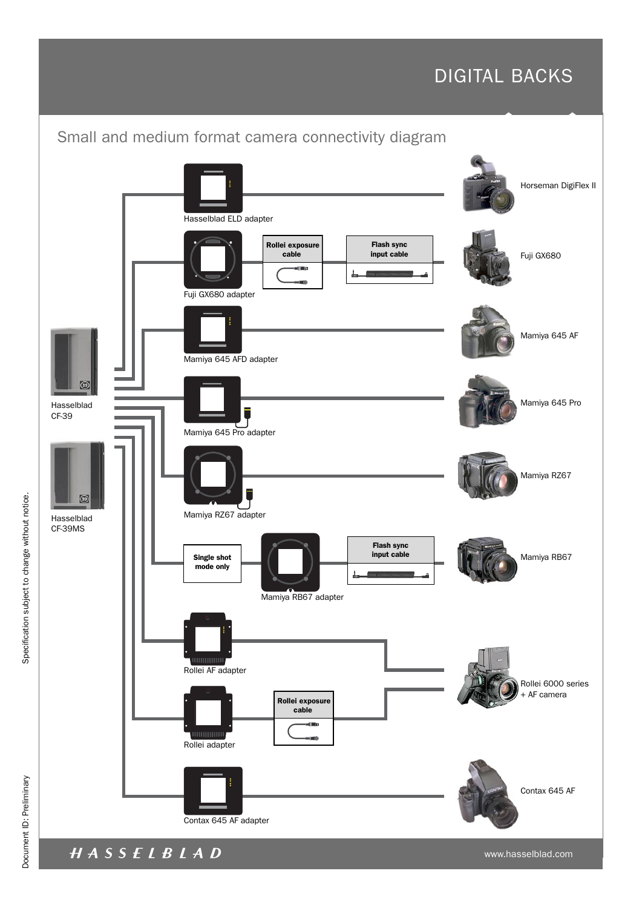